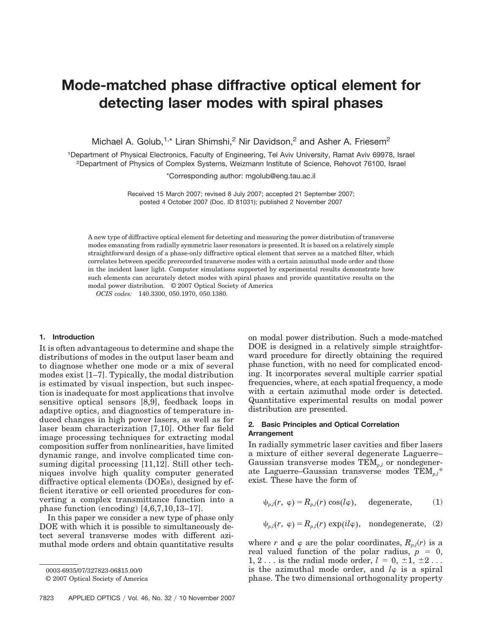# **Mode-matched phase diffractive optical element for detecting laser modes with spiral phases**

Michael A. Golub,<sup>1,\*</sup> Liran Shimshi,<sup>2</sup> Nir Davidson,<sup>2</sup> and Asher A. Friesem<sup>2</sup>

1Department of Physical Electronics, Faculty of Engineering, Tel Aviv University, Ramat Aviv 69978, Israel 2Department of Physics of Complex Systems, Weizmann Institute of Science, Rehovot 76100, Israel

\*Corresponding author: mgolub@eng.tau.ac.il

Received 15 March 2007; revised 8 July 2007; accepted 21 September 2007; posted 4 October 2007 (Doc. ID 81031); published 2 November 2007

A new type of diffractive optical element for detecting and measuring the power distribution of transverse modes emanating from radially symmetric laser resonators is presented. It is based on a relatively simple straightforward design of a phase-only diffractive optical element that serves as a matched filter, which correlates between specific prerecorded transverse modes with a certain azimuthal mode order and those in the incident laser light. Computer simulations supported by experimental results demonstrate how such elements can accurately detect modes with spiral phases and provide quantitative results on the modal power distribution. © 2007 Optical Society of America

*OCIS codes:* 140.3300, 050.1970, 050.1380.

#### **1. Introduction**

It is often advantageous to determine and shape the distributions of modes in the output laser beam and to diagnose whether one mode or a mix of several modes exist [1–7]. Typically, the modal distribution is estimated by visual inspection, but such inspection is inadequate for most applications that involve sensitive optical sensors [8,9], feedback loops in adaptive optics, and diagnostics of temperature induced changes in high power lasers, as well as for laser beam characterization [7,10]. Other far field image processing techniques for extracting modal composition suffer from nonlinearities, have limited dynamic range, and involve complicated time consuming digital processing [11,12]. Still other techniques involve high quality computer generated diffractive optical elements (DOEs), designed by efficient iterative or cell oriented procedures for converting a complex transmittance function into a phase function (encoding) [4,6,7,10,13–17].

In this paper we consider a new type of phase only DOE with which it is possible to simultaneously detect several transverse modes with different azimuthal mode orders and obtain quantitative results

0003-6935/07/327823-06\$15.00/0

on modal power distribution. Such a mode-matched DOE is designed in a relatively simple straightforward procedure for directly obtaining the required phase function, with no need for complicated encoding. It incorporates several multiple carrier spatial frequencies, where, at each spatial frequency, a mode with a certain azimuthal mode order is detected. Quantitative experimental results on modal power distribution are presented.

# **2. Basic Principles and Optical Correlation Arrangement**

In radially symmetric laser cavities and fiber lasers a mixture of either several degenerate Laguerre– Gaussian transverse modes TEM*p*,*<sup>l</sup>* or nondegenerate Laguerre–Gaussian transverse modes TEM*p*,*l\** exist. These have the form of

$$
\psi_{p,l}(r, \varphi) = R_{p,l}(r) \cos(l\varphi), \quad \text{degenerate}, \tag{1}
$$

$$
\psi_{p,l}(r, \varphi) = R_{p,l}(r) \exp(il\varphi), \quad \text{nondegenerate}, \quad (2)
$$

where *r* and  $\varphi$  are the polar coordinates,  $R_{p,l}(r)$  is a real valued function of the polar radius,  $p = 0$ , 1, 2... is the radial mode order,  $l = 0, \pm 1, \pm 2$ ... is the azimuthal mode order, and  $l\varphi$  is a spiral phase. The two dimensional orthogonality property

<sup>© 2007</sup> Optical Society of America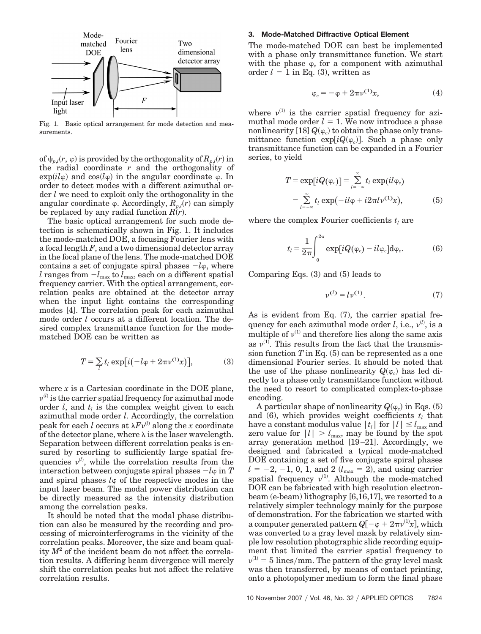

Fig. 1. Basic optical arrangement for mode detection and measurements.

of  $\psi_{p,l}(r, \varphi)$  is provided by the orthogonality of  $R_{p,l}(r)$  in the radial coordinate *r* and the orthogonality of  $\exp(il\varphi)$  and  $\cos(l\varphi)$  in the angular coordinate  $\varphi$ . In order to detect modes with a different azimuthal order *l* we need to exploit only the orthogonality in the angular coordinate  $\varphi$ . Accordingly,  $R_{p,l}(r)$  can simply be replaced by any radial function  $R(r)$ .

The basic optical arrangement for such mode detection is schematically shown in Fig. 1. It includes the mode-matched DOE, a focusing Fourier lens with a focal length *F*, and a two dimensional detector array in the focal plane of the lens. The mode-matched DOE contains a set of conjugate spiral phases  $-l\varphi$ , where *l* ranges from  $-l_{\text{max}}$  to  $l_{\text{max}}$ , each on a different spatial frequency carrier. With the optical arrangement, correlation peaks are obtained at the detector array when the input light contains the corresponding modes [4]. The correlation peak for each azimuthal mode order *l* occurs at a different location. The desired complex transmittance function for the modematched DOE can be written as

$$
T = \sum_{l} t_l \exp[i(-l\varphi + 2\pi\nu^{(l)}x)], \tag{3}
$$

where  $x$  is a Cartesian coordinate in the DOE plane,  $v^{(l)}$  is the carrier spatial frequency for azimuthal mode order  $l$ , and  $t_l$  is the complex weight given to each azimuthal mode order *l*. Accordingly, the correlation peak for each *l* occurs at  $\lambda Fv^{(l)}$  along the *x* coordinate of the detector plane, where  $\lambda$  is the laser wavelength. Separation between different correlation peaks is ensured by resorting to sufficiently large spatial frequencies  $v^{(l)}$ , while the correlation results from the interaction between conjugate spiral phases  $-l$   $\varphi$  in  $T$ and spiral phases  $l\varphi$  of the respective modes in the input laser beam. The modal power distribution can be directly measured as the intensity distribution among the correlation peaks.

It should be noted that the modal phase distribution can also be measured by the recording and processing of microinterferograms in the vicinity of the correlation peaks. Moreover, the size and beam quality  $M^2$  of the incident beam do not affect the correlation results. A differing beam divergence will merely shift the correlation peaks but not affect the relative correlation results.

## **3. Mode-Matched Diffractive Optical Element**

The mode-matched DOE can best be implemented with a phase only transmittance function. We start with the phase  $\varphi_c$  for a component with azimuthal order  $l = 1$  in Eq. (3), written as

$$
\varphi_c = -\varphi + 2\pi \nu^{(1)} x,\tag{4}
$$

where  $v^{(1)}$  is the carrier spatial frequency for azimuthal mode order  $l = 1$ . We now introduce a phase nonlinearity [18]  $Q(\varphi_c)$  to obtain the phase only transmittance function  $exp[iQ(\varphi_c)]$ . Such a phase only transmittance function can be expanded in a Fourier series, to yield

$$
T = \exp[iQ(\varphi_c)] = \sum_{l=-\infty}^{\infty} t_l \exp(il\varphi_c)
$$
  
= 
$$
\sum_{l=-\infty}^{\infty} t_l \exp(-il\varphi + i2\pi l \nu^{(1)}x),
$$
 (5)

where the complex Fourier coefficients  $t_l$  are

$$
t_{l} = \frac{1}{2\pi} \int_{0}^{2\pi} \exp[iQ(\varphi_{c}) - i l \varphi_{c}] d\varphi_{c}.
$$
 (6)

Comparing Eqs. (3) and (5) leads to

$$
v^{(l)} = l v^{(1)}.
$$
 (7)

As is evident from Eq. (7), the carrier spatial frequency for each azimuthal mode order *l*, i.e.,  $v^{(l)}$ , is a multiple of  $v^{(1)}$  and therefore lies along the same axis as  $v^{(1)}$ . This results from the fact that the transmission function  $T$  in Eq. (5) can be represented as a one dimensional Fourier series. It should be noted that the use of the phase nonlinearity  $Q(\varphi_c)$  has led directly to a phase only transmittance function without the need to resort to complicated complex-to-phase encoding.

A particular shape of nonlinearity  $Q(\varphi_c)$  in Eqs. (5) and  $(6)$ , which provides weight coefficients  $t_i$  that have a constant modulus value  $|t_l|$  for  $|l| \leq l_{\max}$  and zero value for  $|l| > l_{\text{max}}$ , may be found by the spot array generation method [19 –21]. Accordingly, we designed and fabricated a typical mode-matched DOE containing a set of five conjugate spiral phases  $l = -2, -1, 0, 1,$  and 2 ( $l_{\text{max}} = 2$ ), and using carrier spatial frequency  $v^{(1)}$ . Although the mode-matched DOE can be fabricated with high resolution electronbeam (e-beam) lithography [6,16,17], we resorted to a relatively simpler technology mainly for the purpose of demonstration. For the fabrication we started with a computer generated pattern  $Q[-\varphi + 2\pi\nu^{(1)}x]$ , which was converted to a gray level mask by relatively simple low resolution photographic slide recording equipment that limited the carrier spatial frequency to  $v^{(1)} = 5$  lines/mm. The pattern of the gray level mask was then transferred, by means of contact printing, onto a photopolymer medium to form the final phase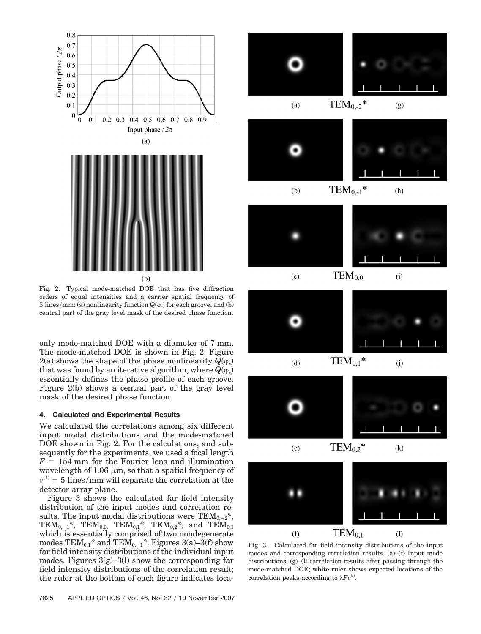

Fig. 2. Typical mode-matched DOE that has five diffraction orders of equal intensities and a carrier spatial frequency of  $5 \text{ lines/mm: (a) nonlinearity function } Q(\varphi_c) \text{ for each groove; and (b)}$ central part of the gray level mask of the desired phase function.

only mode-matched DOE with a diameter of 7 mm. The mode-matched DOE is shown in Fig. 2. Figure  $2(a)$  shows the shape of the phase nonlinearity  $Q(\varphi_c)$ that was found by an iterative algorithm, where  $Q(\varphi_c)$ essentially defines the phase profile of each groove. Figure 2(b) shows a central part of the gray level mask of the desired phase function.

## **4. Calculated and Experimental Results**

We calculated the correlations among six different input modal distributions and the mode-matched DOE shown in Fig. 2. For the calculations, and subsequently for the experiments, we used a focal length  $F = 154$  mm for the Fourier lens and illumination wavelength of 1.06  $\mu$ m, so that a spatial frequency of  $v^{(1)} = 5$  lines/mm will separate the correlation at the detector array plane.

Figure 3 shows the calculated far field intensity distribution of the input modes and correlation results. The input modal distributions were  $TEM_{0,-2}^*$ , TEM<sub>0,-1</sub><sup>\*</sup>, TEM<sub>0,0</sub>, TEM<sub>0,1</sub><sup>\*</sup>, TEM<sub>0,2</sub><sup>\*</sup>, and TEM<sub>0,1</sub> which is essentially comprised of two nondegenerate modes  $TEM_{0,1}^*$  and  $TEM_{0,-1}^*$ . Figures 3(a)–3(f) show far field intensity distributions of the individual input modes. Figures  $3(g)-3(1)$  show the corresponding far field intensity distributions of the correlation result; the ruler at the bottom of each figure indicates loca-





Fig. 3. Calculated far field intensity distributions of the input modes and corresponding correlation results. (a)–(f) Input mode distributions; (g)–(l) correlation results after passing through the mode-matched DOE; white ruler shows expected locations of the correlation peaks according to  $\lambda F v^{(l)}$ .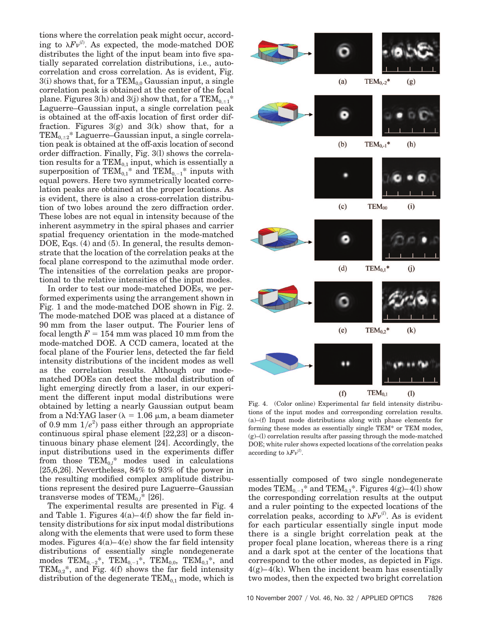tions where the correlation peak might occur, according to  $\lambda Fv^{(l)}$ . As expected, the mode-matched DOE distributes the light of the input beam into five spatially separated correlation distributions, i.e., autocorrelation and cross correlation. As is evident, Fig.  $3(i)$  shows that, for a  $TEM_{0.0}$  Gaussian input, a single correlation peak is obtained at the center of the focal plane. Figures 3(h) and 3(j) show that, for a  $TEM_{0,\pm 1}^*$ Laguerre–Gaussian input, a single correlation peak is obtained at the off-axis location of first order diffraction. Figures  $3(g)$  and  $3(k)$  show that, for a  $TEM_{0,\pm 2}^*$  Laguerre–Gaussian input, a single correlation peak is obtained at the off-axis location of second order diffraction. Finally, Fig. 3(l) shows the correlation results for a  $TEM_{0,1}$  input, which is essentially a superposition of TEM<sub>0,1</sub>\* and TEM<sub>0,-1</sub>\* inputs with equal powers. Here two symmetrically located correlation peaks are obtained at the proper locations. As is evident, there is also a cross-correlation distribution of two lobes around the zero diffraction order. These lobes are not equal in intensity because of the inherent asymmetry in the spiral phases and carrier spatial frequency orientation in the mode-matched DOE, Eqs. (4) and (5). In general, the results demonstrate that the location of the correlation peaks at the focal plane correspond to the azimuthal mode order. The intensities of the correlation peaks are proportional to the relative intensities of the input modes.

In order to test our mode-matched DOEs, we performed experiments using the arrangement shown in Fig. 1 and the mode-matched DOE shown in Fig. 2. The mode-matched DOE was placed at a distance of 90 mm from the laser output. The Fourier lens of focal length  $F = 154$  mm was placed 10 mm from the mode-matched DOE. A CCD camera, located at the focal plane of the Fourier lens, detected the far field intensity distributions of the incident modes as well as the correlation results. Although our modematched DOEs can detect the modal distribution of light emerging directly from a laser, in our experiment the different input modal distributions were obtained by letting a nearly Gaussian output beam from a Nd:YAG laser ( $\lambda = 1.06 \mu m$ , a beam diameter of 0.9 mm  $1/e^2$ ) pass either through an appropriate continuous spiral phase element [22,23] or a discontinuous binary phase element [24]. Accordingly, the input distributions used in the experiments differ from those  $TEM_{0,l}^*$  modes used in calculations [25,6,26]. Nevertheless, 84% to 93% of the power in the resulting modified complex amplitude distributions represent the desired pure Laguerre–Gaussian transverse modes of  $TEM_{0,l}^*$  [26].

The experimental results are presented in Fig. 4 and Table 1. Figures  $4(a) - 4(f)$  show the far field intensity distributions for six input modal distributions along with the elements that were used to form these modes. Figures  $4(a)-4(e)$  show the far field intensity distributions of essentially single nondegenerate modes  $TEM_{0,-2}^*$ ,  $TEM_{0,-1}^*$ ,  $TEM_{0,0}$ ,  $TEM_{0,1}^*$ , and  $TEM_{0,2}^*$ , and Fig. 4(f) shows the far field intensity distribution of the degenerate  $TEM_{0,1}$  mode, which is



Fig. 4. (Color online) Experimental far field intensity distributions of the input modes and corresponding correlation results. (a)–(f) Input mode distributions along with phase elements for forming these modes as essentially single TEM\* or TEM modes, (g)–(l) correlation results after passing through the mode-matched DOE; white ruler shows expected locations of the correlation peaks according to  $\lambda F v^{(l)}$ .

essentially composed of two single nondegenerate modes  $TEM_{0,-1}^*$  and  $TEM_{0,1}^*$ . Figures 4(g)–4(l) show the corresponding correlation results at the output and a ruler pointing to the expected locations of the correlation peaks, according to  $\lambda Fv^{(l)}$ . As is evident for each particular essentially single input mode there is a single bright correlation peak at the proper focal plane location, whereas there is a ring and a dark spot at the center of the locations that correspond to the other modes, as depicted in Figs.  $4(g)-4(k)$ . When the incident beam has essentially two modes, then the expected two bright correlation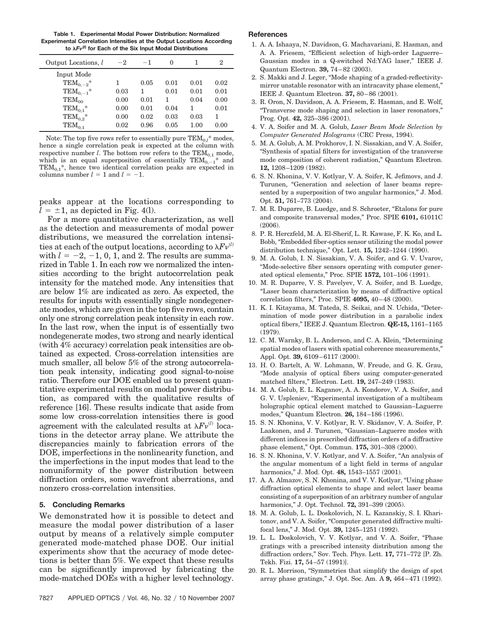**Table 1. Experimental Modal Power Distribution: Normalized Experimental Correlation Intensities at the Output Locations According to** *F*-**(***l***) for Each of the Six Input Modal Distributions**

| Output Locations, l | $-2$ | $-1$ | $\Omega$ |      | $\overline{2}$ |
|---------------------|------|------|----------|------|----------------|
| Input Mode          |      |      |          |      |                |
| $TEM_{0.-2}^*$      | 1    | 0.05 | 0.01     | 0.01 | 0.02           |
| $TEM_{0,-1}^*$      | 0.03 | 1    | 0.01     | 0.01 | 0.01           |
| $TEM_{00}$          | 0.00 | 0.01 | 1        | 0.04 | 0.00           |
| $TEM_{0.1}^*$       | 0.00 | 0.01 | 0.04     | 1    | 0.01           |
| $TEM_{0.2}^*$       | 0.00 | 0.02 | 0.03     | 0.03 | 1              |
| $TEM_{0,1}$         | 0.02 | 0.96 | 0.05     | 1.00 | 0.00           |

Note: The top five rows refer to essentially pure  $\mathrm{TEM}_{0,l}{}^*$  modes, hence a single correlation peak is expected at the column with respective number *l*. The bottom row refers to the TEM<sub>0,1</sub> mode, which is an equal superposition of essentially TEM<sub>0</sub>,  $*$  and which is an equal superposition of essentially  $TEM_{0,-1}^{\dagger}$  $TEM_{0.1}$ <sup>\*</sup>, hence two identical correlation peaks are expected in columns number  $l = 1$  and  $l = -1$ .

peaks appear at the locations corresponding to  $l = \pm 1$ , as depicted in Fig. 4(l).

For a more quantitative characterization, as well as the detection and measurements of modal power distributions, we measured the correlation intensities at each of the output locations, according to  $\lambda Fv^{(l)}$ with  $l = -2, -1, 0, 1$ , and 2. The results are summarized in Table 1. In each row we normalized the intensities according to the bright autocorrelation peak intensity for the matched mode. Any intensities that are below 1% are indicated as zero. As expected, the results for inputs with essentially single nondegenerate modes, which are given in the top five rows, contain only one strong correlation peak intensity in each row. In the last row, when the input is of essentially two nondegenerate modes, two strong and nearly identical (with 4% accuracy) correlation peak intensities are obtained as expected. Cross-correlation intensities are much smaller, all below 5% of the strong autocorrelation peak intensity, indicating good signal-to-noise ratio. Therefore our DOE enabled us to present quantitative experimental results on modal power distribution, as compared with the qualitative results of reference [16]. These results indicate that aside from some low cross-correlation intensities there is good agreement with the calculated results at  $\lambda Fv^{(l)}$  locations in the detector array plane. We attribute the discrepancies mainly to fabrication errors of the DOE, imperfections in the nonlinearity function, and the imperfections in the input modes that lead to the nonuniformity of the power distribution between diffraction orders, some wavefront aberrations, and nonzero cross-correlation intensities.

#### **5. Concluding Remarks**

We demonstrated how it is possible to detect and measure the modal power distribution of a laser output by means of a relatively simple computer generated mode-matched phase DOE. Our initial experiments show that the accuracy of mode detections is better than 5%. We expect that these results can be significantly improved by fabricating the mode-matched DOEs with a higher level technology.

### **References**

- 1. A. A. Ishaaya, N. Davidson, G. Machavariani, E. Hasman, and A. A. Friesem, "Efficient selection of high-order Laguerre– Gaussian modes in a Q-switched Nd:YAG laser," IEEE J. Quantum Electron. **39,** 74 – 82 (2003).
- 2. S. Makki and J. Leger, "Mode shaping of a graded-reflectivitymirror unstable resonator with an intracavity phase element," IEEE J. Quantum Electron. **37,** 80 – 86 (2001).
- 3. R. Oron, N. Davidson, A. A. Friesem, E. Hasman, and E. Wolf, "Transverse mode shaping and selection in laser resonators," Prog. Opt. **42,** 325–386 (2001).
- 4. V. A. Soifer and M. A. Golub, *Laser Beam Mode Selection by Computer Generated Holograms* (CRC Press, 1994).
- 5. M. A. Golub, A. M. Prokhorov, I. N. Sissakian, and V. A. Soifer, "Synthesis of spatial filters for investigation of the transverse mode composition of coherent radiation," Quantum Electron. **12,** 1208 –1209 (1982).
- 6. S. N. Khonina, V. V. Kotlyar, V. A. Soifer, K. Jefimovs, and J. Turunen, "Generation and selection of laser beams represented by a superposition of two angular harmonics," J. Mod. Opt. **51,** 761–773 (2004).
- 7. M. R. Duparre, B. Luedge, and S. Schroeter, "Etalons for pure and composite transversal modes," Proc. SPIE **6101,** 61011C (2006).
- 8. P. R. Herczfeld, M. A. El-Sherif, L. R. Kawase, F. K. Ko, and L. Bobb, "Embedded fiber-optics sensor utilizing the modal power distribution technique," Opt. Lett. **15,** 1242–1244 (1990).
- 9. M. A. Golub, I. N. Sissakian, V. A. Soifer, and G. V. Uvarov, "Mode-selective fiber sensors operating with computer generated optical elements," Proc. SPIE **1572,** 101–106 (1991).
- 10. M. R. Duparre, V. S. Pavelyev, V. A. Soifer, and B. Luedge, "Laser beam characterization by means of diffractive optical correlation filters," Proc. SPIE **4095,** 40 – 48 (2000).
- 11. K. I. Kitayama, M. Tateda, S. Seikai, and N. Uchida, "Determination of mode power distribution in a parabolic index optical fibers," IEEE J. Quantum Electron. **QE-15,** 1161–1165 (1979).
- 12. C. M. Warnky, B. L. Anderson, and C. A. Klein, "Determining spatial modes of lasers with spatial coherence measurements," Appl. Opt. **39,** 6109 – 6117 (2000).
- 13. H. O. Bartelt, A. W. Lohmann, W. Freude, and G. K. Grau, "Mode analysis of optical fibers using computer-generated matched filters," Electron. Lett. **19,** 247–249 (1983).
- 14. M. A. Golub, E. L. Kaganov, A. A. Kondorov, V. A. Soifer, and G. V. Uspleniev, "Experimental investigation of a multibeam holographic optical element matched to Gaussian–Laguerre modes," Quantum Electron. **26,** 184 –186 (1996).
- 15. S. N. Khonina, V. V. Kotlyar, R. V. Skidanov, V. A. Soifer, P. Laakonen, and J. Turunen, "Gaussian–Laguerre modes with different indices in prescribed diffraction orders of a diffractive phase element," Opt. Commun. **175,** 301–308 (2000).
- 16. S. N. Khonina, V. V. Kotlyar, and V. A. Soifer, "An analysis of the angular momentum of a light field in terms of angular harmonics," J. Mod. Opt. **48,** 1543–1557 (2001).
- 17. A. A. Almazov, S. N. Khonina, and V. V. Kotlyar, "Using phase diffraction optical elements to shape and select laser beams consisting of a superposition of an arbitrary number of angular harmonics," J. Opt. Technol. **72,** 391–399 (2005).
- 18. M. A. Golub, L. L. Doskolovich, N. L. Kazanskiy, S. I. Kharitonov, and V. A. Soifer, "Computer generated diffractive multifocal lens," J. Mod. Opt. **39,** 1245–1251 (1992).
- 19. L. L. Doskolovich, V. V. Kotlyar, and V. A. Soifer, "Phase gratings with a prescribed intensity distribution among the diffraction orders," Sov. Tech. Phys. Lett. **17,** 771–772 [P. Zh. Tekh. Fizi. **17,** 54 –57 (1991)].
- 20. R. L. Morrison, "Symmetries that simplify the design of spot array phase gratings," J. Opt. Soc. Am. A **9,** 464 – 471 (1992).